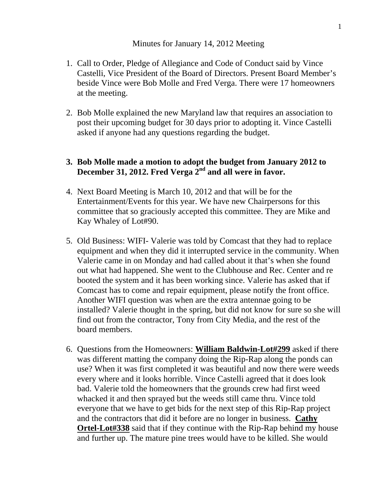## Minutes for January 14, 2012 Meeting

- 1. Call to Order, Pledge of Allegiance and Code of Conduct said by Vince Castelli, Vice President of the Board of Directors. Present Board Member's beside Vince were Bob Molle and Fred Verga. There were 17 homeowners at the meeting.
- 2. Bob Molle explained the new Maryland law that requires an association to post their upcoming budget for 30 days prior to adopting it. Vince Castelli asked if anyone had any questions regarding the budget.

## **3. Bob Molle made a motion to adopt the budget from January 2012 to December 31, 2012. Fred Verga 2nd and all were in favor.**

- 4. Next Board Meeting is March 10, 2012 and that will be for the Entertainment/Events for this year. We have new Chairpersons for this committee that so graciously accepted this committee. They are Mike and Kay Whaley of Lot#90.
- 5. Old Business: WIFI- Valerie was told by Comcast that they had to replace equipment and when they did it interrupted service in the community. When Valerie came in on Monday and had called about it that's when she found out what had happened. She went to the Clubhouse and Rec. Center and re booted the system and it has been working since. Valerie has asked that if Comcast has to come and repair equipment, please notify the front office. Another WIFI question was when are the extra antennae going to be installed? Valerie thought in the spring, but did not know for sure so she will find out from the contractor, Tony from City Media, and the rest of the board members.
- 6. Questions from the Homeowners: **William Baldwin-Lot#299** asked if there was different matting the company doing the Rip-Rap along the ponds can use? When it was first completed it was beautiful and now there were weeds every where and it looks horrible. Vince Castelli agreed that it does look bad. Valerie told the homeowners that the grounds crew had first weed whacked it and then sprayed but the weeds still came thru. Vince told everyone that we have to get bids for the next step of this Rip-Rap project and the contractors that did it before are no longer in business. **Cathy Ortel-Lot#338** said that if they continue with the Rip-Rap behind my house and further up. The mature pine trees would have to be killed. She would